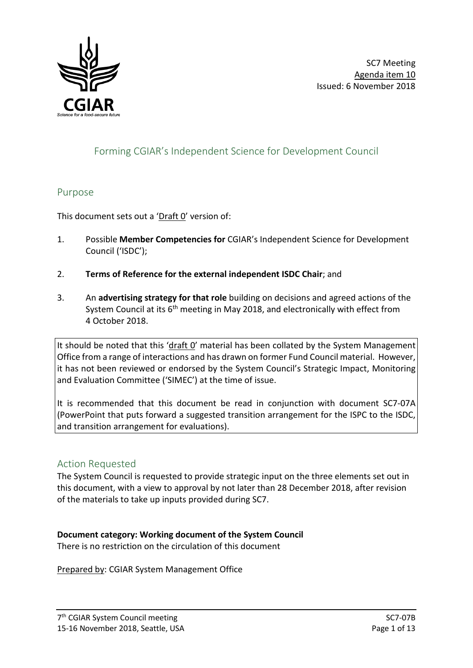

# Forming CGIAR's Independent Science for Development Council

### Purpose

This document sets out a ' $Draff O'$  version of:

- 1. Possible **Member Competencies for** CGIAR's Independent Science for Development Council ('ISDC');
- 2. **Terms of Reference for the external independent ISDC Chair**; and
- 3. An **advertising strategy for that role** building on decisions and agreed actions of the System Council at its  $6<sup>th</sup>$  meeting in May 2018, and electronically with effect from 4 October 2018.

It should be noted that this 'draft O' material has been collated by the System Management Office from a range of interactions and has drawn on former Fund Council material. However, it has not been reviewed or endorsed by the System Council's Strategic Impact, Monitoring and Evaluation Committee ('SIMEC') at the time of issue.

It is recommended that this document be read in conjunction with document SC7-07A (PowerPoint that puts forward a suggested transition arrangement for the ISPC to the ISDC, and transition arrangement for evaluations).

### Action Requested

The System Council is requested to provide strategic input on the three elements set out in this document, with a view to approval by not later than 28 December 2018, after revision of the materials to take up inputs provided during SC7.

## **Document category: Working document of the System Council**

There is no restriction on the circulation of this document

Prepared by: CGIAR System Management Office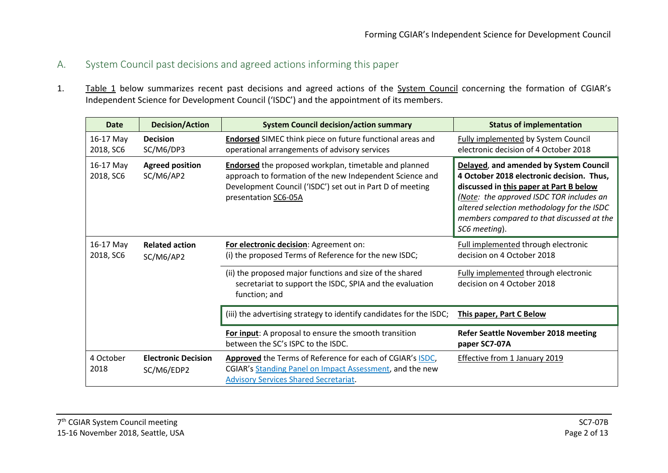- A. System Council past decisions and agreed actions informing this paper
- 1. Table 1 below summarizes recent past decisions and agreed actions of the System Council concerning the formation of CGIAR's Independent Science for Development Council ('ISDC') and the appointment of its members.

| <b>Date</b>            | <b>Decision/Action</b>                   | <b>System Council decision/action summary</b>                                                                                                                                                                 | <b>Status of implementation</b>                                                                                                                                                                                                                                                        |  |
|------------------------|------------------------------------------|---------------------------------------------------------------------------------------------------------------------------------------------------------------------------------------------------------------|----------------------------------------------------------------------------------------------------------------------------------------------------------------------------------------------------------------------------------------------------------------------------------------|--|
| 16-17 May<br>2018, SC6 | <b>Decision</b><br>SC/M6/DP3             | <b>Endorsed</b> SIMEC think piece on future functional areas and<br>operational arrangements of advisory services                                                                                             | <b>Fully implemented by System Council</b><br>electronic decision of 4 October 2018                                                                                                                                                                                                    |  |
| 16-17 May<br>2018, SC6 | <b>Agreed position</b><br>SC/M6/AP2      | <b>Endorsed</b> the proposed workplan, timetable and planned<br>approach to formation of the new Independent Science and<br>Development Council ('ISDC') set out in Part D of meeting<br>presentation SC6-05A | Delayed, and amended by System Council<br>4 October 2018 electronic decision. Thus,<br>discussed in this paper at Part B below<br>(Note: the approved ISDC TOR includes an<br>altered selection methodology for the ISDC<br>members compared to that discussed at the<br>SC6 meeting). |  |
| 16-17 May<br>2018, SC6 | <b>Related action</b><br>SC/M6/AP2       | For electronic decision: Agreement on:<br>(i) the proposed Terms of Reference for the new ISDC;                                                                                                               | Full implemented through electronic<br>decision on 4 October 2018                                                                                                                                                                                                                      |  |
|                        |                                          | (ii) the proposed major functions and size of the shared<br>secretariat to support the ISDC, SPIA and the evaluation<br>function; and                                                                         | Fully implemented through electronic<br>decision on 4 October 2018                                                                                                                                                                                                                     |  |
|                        |                                          | (iii) the advertising strategy to identify candidates for the ISDC;                                                                                                                                           | This paper, Part C Below                                                                                                                                                                                                                                                               |  |
|                        |                                          | For input: A proposal to ensure the smooth transition<br>between the SC's ISPC to the ISDC.                                                                                                                   | <b>Refer Seattle November 2018 meeting</b><br>paper SC7-07A                                                                                                                                                                                                                            |  |
| 4 October<br>2018      | <b>Electronic Decision</b><br>SC/M6/EDP2 | Approved the Terms of Reference for each of CGIAR's ISDC,<br>CGIAR's Standing Panel on Impact Assessment, and the new<br><b>Advisory Services Shared Secretariat.</b>                                         | Effective from 1 January 2019                                                                                                                                                                                                                                                          |  |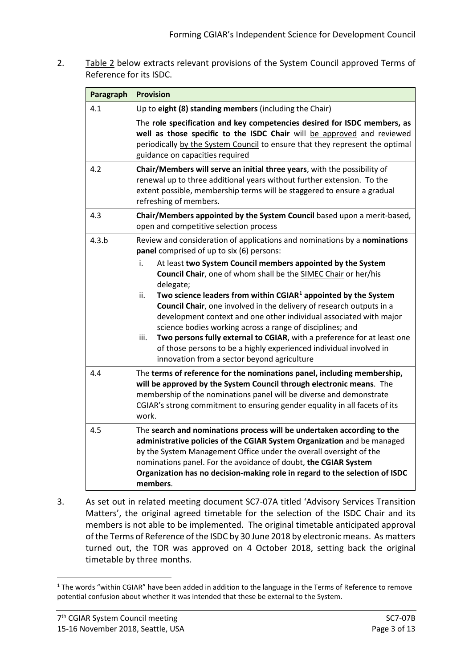2. Table 2 below extracts relevant provisions of the System Council approved Terms of Reference for its ISDC.

| Paragraph | <b>Provision</b>                                                                                                                                                                                                                                                                                                                                                                                                                                                                                                                                                                                                                               |  |  |
|-----------|------------------------------------------------------------------------------------------------------------------------------------------------------------------------------------------------------------------------------------------------------------------------------------------------------------------------------------------------------------------------------------------------------------------------------------------------------------------------------------------------------------------------------------------------------------------------------------------------------------------------------------------------|--|--|
| 4.1       | Up to eight (8) standing members (including the Chair)                                                                                                                                                                                                                                                                                                                                                                                                                                                                                                                                                                                         |  |  |
|           | The role specification and key competencies desired for ISDC members, as<br>well as those specific to the ISDC Chair will be approved and reviewed<br>periodically by the System Council to ensure that they represent the optimal<br>guidance on capacities required                                                                                                                                                                                                                                                                                                                                                                          |  |  |
| 4.2       | Chair/Members will serve an initial three years, with the possibility of<br>renewal up to three additional years without further extension. To the<br>extent possible, membership terms will be staggered to ensure a gradual<br>refreshing of members.                                                                                                                                                                                                                                                                                                                                                                                        |  |  |
| 4.3       | Chair/Members appointed by the System Council based upon a merit-based,<br>open and competitive selection process                                                                                                                                                                                                                                                                                                                                                                                                                                                                                                                              |  |  |
| 4.3.b     | Review and consideration of applications and nominations by a nominations<br>panel comprised of up to six (6) persons:                                                                                                                                                                                                                                                                                                                                                                                                                                                                                                                         |  |  |
|           | At least two System Council members appointed by the System<br>i.<br>Council Chair, one of whom shall be the SIMEC Chair or her/his<br>delegate;<br>Two science leaders from within $CGIAR1$ appointed by the System<br>ii.<br>Council Chair, one involved in the delivery of research outputs in a<br>development context and one other individual associated with major<br>science bodies working across a range of disciplines; and<br>Two persons fully external to CGIAR, with a preference for at least one<br>iii.<br>of those persons to be a highly experienced individual involved in<br>innovation from a sector beyond agriculture |  |  |
| 4.4       | The terms of reference for the nominations panel, including membership,<br>will be approved by the System Council through electronic means. The<br>membership of the nominations panel will be diverse and demonstrate<br>CGIAR's strong commitment to ensuring gender equality in all facets of its<br>work.                                                                                                                                                                                                                                                                                                                                  |  |  |
| 4.5       | The search and nominations process will be undertaken according to the<br>administrative policies of the CGIAR System Organization and be managed<br>by the System Management Office under the overall oversight of the<br>nominations panel. For the avoidance of doubt, the CGIAR System<br>Organization has no decision-making role in regard to the selection of ISDC<br>members.                                                                                                                                                                                                                                                          |  |  |

3. As set out in related meeting document SC7-07A titled 'Advisory Services Transition Matters', the original agreed timetable for the selection of the ISDC Chair and its members is not able to be implemented. The original timetable anticipated approval of the Terms of Reference of the ISDC by 30 June 2018 by electronic means. As matters turned out, the TOR was approved on 4 October 2018, setting back the original timetable by three months.

<span id="page-2-0"></span><sup>&</sup>lt;u>.</u>  $1$  The words "within CGIAR" have been added in addition to the language in the Terms of Reference to remove potential confusion about whether it was intended that these be external to the System.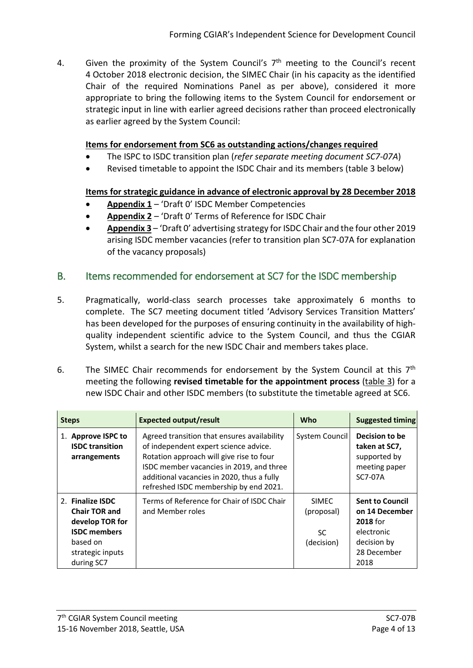4. Given the proximity of the System Council's  $7<sup>th</sup>$  meeting to the Council's recent 4 October 2018 electronic decision, the SIMEC Chair (in his capacity as the identified Chair of the required Nominations Panel as per above), considered it more appropriate to bring the following items to the System Council for endorsement or strategic input in line with earlier agreed decisions rather than proceed electronically as earlier agreed by the System Council:

### **Items for endorsement from SC6 as outstanding actions/changes required**

- The ISPC to ISDC transition plan (*refer separate meeting document SC7-07A*)
- Revised timetable to appoint the ISDC Chair and its members (table 3 below)

## **Items for strategic guidance in advance of electronic approval by 28 December 2018**

- **Appendix 1** 'Draft 0' ISDC Member Competencies
- **Appendix 2** 'Draft 0' Terms of Reference for ISDC Chair
- **Appendix 3** 'Draft 0' advertising strategy for ISDC Chair and the four other 2019 arising ISDC member vacancies (refer to transition plan SC7-07A for explanation of the vacancy proposals)

# B. Items recommended for endorsement at SC7 for the ISDC membership

- 5. Pragmatically, world-class search processes take approximately 6 months to complete. The SC7 meeting document titled 'Advisory Services Transition Matters' has been developed for the purposes of ensuring continuity in the availability of highquality independent scientific advice to the System Council, and thus the CGIAR System, whilst a search for the new ISDC Chair and members takes place.
- 6. The SIMEC Chair recommends for endorsement by the System Council at this  $7<sup>th</sup>$ meeting the following **revised timetable for the appointment process** (table 3) for a new ISDC Chair and other ISDC members (to substitute the timetable agreed at SC6.

| <b>Steps</b>                                                                                                                     | <b>Expected output/result</b>                                                                                                                                                                                                                                        | Who                                       | <b>Suggested timing</b>                                                                                  |
|----------------------------------------------------------------------------------------------------------------------------------|----------------------------------------------------------------------------------------------------------------------------------------------------------------------------------------------------------------------------------------------------------------------|-------------------------------------------|----------------------------------------------------------------------------------------------------------|
| 1. Approve ISPC to<br><b>ISDC</b> transition<br>arrangements                                                                     | Agreed transition that ensures availability<br>of independent expert science advice.<br>Rotation approach will give rise to four<br>ISDC member vacancies in 2019, and three<br>additional vacancies in 2020, thus a fully<br>refreshed ISDC membership by end 2021. | System Council                            | Decision to be<br>taken at SC7,<br>supported by<br>meeting paper<br>SC7-07A                              |
| 2. Finalize ISDC<br><b>Chair TOR and</b><br>develop TOR for<br><b>ISDC</b> members<br>based on<br>strategic inputs<br>during SC7 | Terms of Reference for Chair of ISDC Chair<br>and Member roles                                                                                                                                                                                                       | SIMFC.<br>(proposal)<br>SC.<br>(decision) | <b>Sent to Council</b><br>on 14 December<br>2018 for<br>electronic<br>decision by<br>28 December<br>2018 |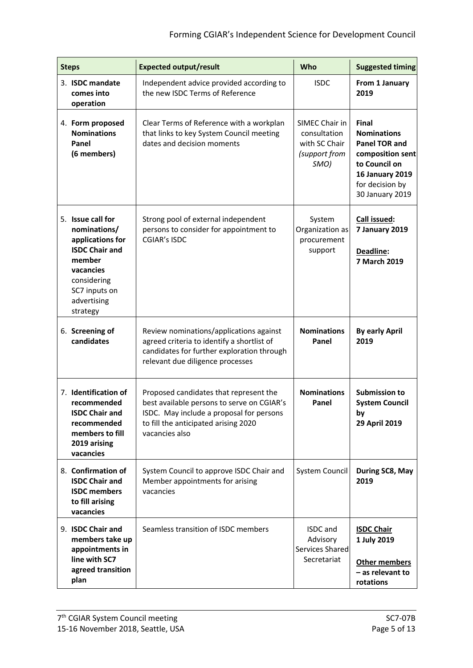| <b>Steps</b> |                                                                                                                                                                  | <b>Expected output/result</b>                                                                                                                                                              | Who                                                                      | <b>Suggested timing</b>                                                                                                                                  |
|--------------|------------------------------------------------------------------------------------------------------------------------------------------------------------------|--------------------------------------------------------------------------------------------------------------------------------------------------------------------------------------------|--------------------------------------------------------------------------|----------------------------------------------------------------------------------------------------------------------------------------------------------|
|              | 3. ISDC mandate<br>comes into<br>operation                                                                                                                       | Independent advice provided according to<br>the new ISDC Terms of Reference                                                                                                                | <b>ISDC</b>                                                              | From 1 January<br>2019                                                                                                                                   |
|              | 4. Form proposed<br><b>Nominations</b><br>Panel<br>(6 members)                                                                                                   | Clear Terms of Reference with a workplan<br>that links to key System Council meeting<br>dates and decision moments                                                                         | SIMEC Chair in<br>consultation<br>with SC Chair<br>(support from<br>SMO) | Final<br><b>Nominations</b><br><b>Panel TOR and</b><br>composition sent<br>to Council on<br><b>16 January 2019</b><br>for decision by<br>30 January 2019 |
|              | 5. Issue call for<br>nominations/<br>applications for<br><b>ISDC Chair and</b><br>member<br>vacancies<br>considering<br>SC7 inputs on<br>advertising<br>strategy | Strong pool of external independent<br>persons to consider for appointment to<br><b>CGIAR's ISDC</b>                                                                                       | System<br>Organization as<br>procurement<br>support                      | Call issued:<br>7 January 2019<br>Deadline:<br>7 March 2019                                                                                              |
|              | 6. Screening of<br>candidates                                                                                                                                    | Review nominations/applications against<br>agreed criteria to identify a shortlist of<br>candidates for further exploration through<br>relevant due diligence processes                    | <b>Nominations</b><br>Panel                                              | <b>By early April</b><br>2019                                                                                                                            |
|              | 7. Identification of<br>recommended<br><b>ISDC Chair and</b><br>recommended<br>members to fill<br>2019 arising<br>vacancies                                      | Proposed candidates that represent the<br>best available persons to serve on CGIAR's<br>ISDC. May include a proposal for persons<br>to fill the anticipated arising 2020<br>vacancies also | <b>Nominations</b><br>Panel                                              | <b>Submission to</b><br><b>System Council</b><br>by<br>29 April 2019                                                                                     |
|              | 8. Confirmation of<br><b>ISDC Chair and</b><br><b>ISDC</b> members<br>to fill arising<br>vacancies                                                               | System Council to approve ISDC Chair and<br>Member appointments for arising<br>vacancies                                                                                                   | System Council                                                           | During SC8, May<br>2019                                                                                                                                  |
|              | 9. ISDC Chair and<br>members take up<br>appointments in<br>line with SC7<br>agreed transition<br>plan                                                            | Seamless transition of ISDC members                                                                                                                                                        | <b>ISDC</b> and<br>Advisory<br>Services Shared<br>Secretariat            | <b>ISDC Chair</b><br>1 July 2019<br>Other members<br>- as relevant to<br>rotations                                                                       |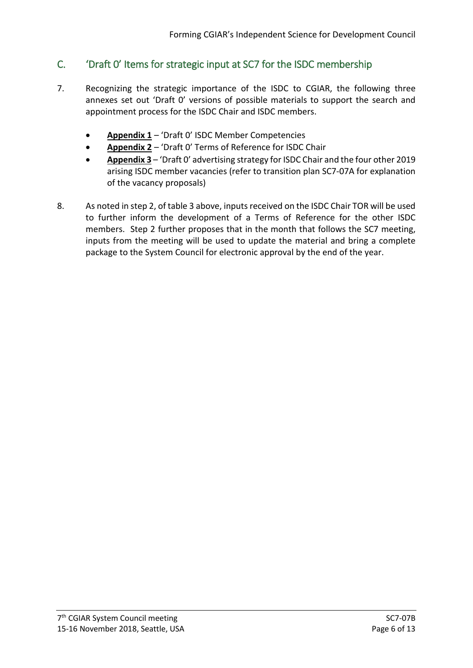# C. 'Draft 0' Items for strategic input at SC7 for the ISDC membership

- 7. Recognizing the strategic importance of the ISDC to CGIAR, the following three annexes set out 'Draft 0' versions of possible materials to support the search and appointment process for the ISDC Chair and ISDC members.
	- **Appendix 1** 'Draft 0' ISDC Member Competencies
	- **Appendix 2** 'Draft 0' Terms of Reference for ISDC Chair
	- **Appendix 3** 'Draft 0' advertising strategy for ISDC Chair and the four other 2019 arising ISDC member vacancies (refer to transition plan SC7-07A for explanation of the vacancy proposals)
- 8. As noted in step 2, of table 3 above, inputs received on the ISDC Chair TOR will be used to further inform the development of a Terms of Reference for the other ISDC members. Step 2 further proposes that in the month that follows the SC7 meeting, inputs from the meeting will be used to update the material and bring a complete package to the System Council for electronic approval by the end of the year.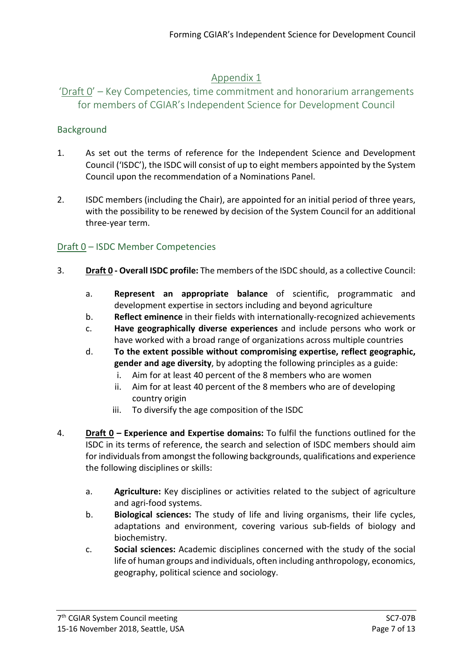# Appendix 1

# 'Draft 0' – Key Competencies, time commitment and honorarium arrangements for members of CGIAR's Independent Science for Development Council

### Background

- 1. As set out the terms of reference for the Independent Science and Development Council ('ISDC'), the ISDC will consist of up to eight members appointed by the System Council upon the recommendation of a Nominations Panel.
- 2. ISDC members (including the Chair), are appointed for an initial period of three years, with the possibility to be renewed by decision of the System Council for an additional three-year term.

## Draft 0 – ISDC Member Competencies

- 3. **Draft 0 - Overall ISDC profile:** The members of the ISDC should, as a collective Council:
	- a. **Represent an appropriate balance** of scientific, programmatic and development expertise in sectors including and beyond agriculture
	- b. **Reflect eminence** in their fields with internationally-recognized achievements
	- c. **Have geographically diverse experiences** and include persons who work or have worked with a broad range of organizations across multiple countries
	- d. **To the extent possible without compromising expertise, reflect geographic, gender and age diversity**, by adopting the following principles as a guide:
		- i. Aim for at least 40 percent of the 8 members who are women
		- ii. Aim for at least 40 percent of the 8 members who are of developing country origin
		- iii. To diversify the age composition of the ISDC
- 4. **Draft 0 – Experience and Expertise domains:** To fulfil the functions outlined for the ISDC in its terms of reference, the search and selection of ISDC members should aim for individuals from amongst the following backgrounds, qualifications and experience the following disciplines or skills:
	- a. **Agriculture:** Key disciplines or activities related to the subject of agriculture and agri-food systems.
	- b. **Biological sciences:** The study of life and living organisms, their life cycles, adaptations and environment, covering various sub-fields of biology and biochemistry.
	- c. **Social sciences:** Academic disciplines concerned with the study of the social life of human groups and individuals, often including anthropology, economics, geography, political science and sociology.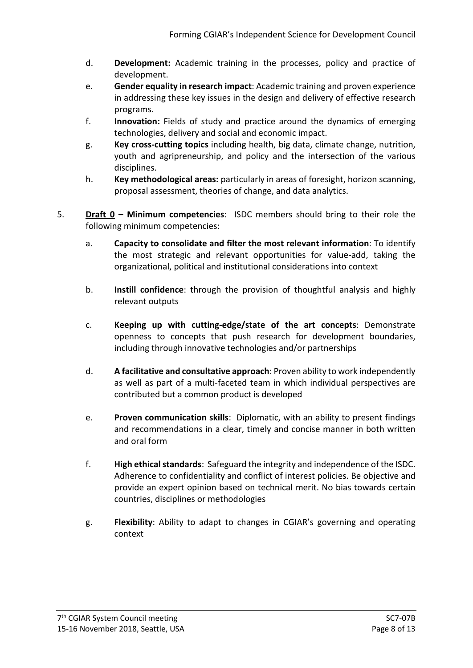- d. **Development:** Academic training in the processes, policy and practice of development.
- e. **Gender equality in research impact**: Academic training and proven experience in addressing these key issues in the design and delivery of effective research programs.
- f. **Innovation:** Fields of study and practice around the dynamics of emerging technologies, delivery and social and economic impact.
- g. **Key cross-cutting topics** including health, big data, climate change, nutrition, youth and agripreneurship, and policy and the intersection of the various disciplines.
- h. **Key methodological areas:** particularly in areas of foresight, horizon scanning, proposal assessment, theories of change, and data analytics.
- 5. **Draft 0 – Minimum competencies**: ISDC members should bring to their role the following minimum competencies:
	- a. **Capacity to consolidate and filter the most relevant information**: To identify the most strategic and relevant opportunities for value-add, taking the organizational, political and institutional considerations into context
	- b. **Instill confidence**: through the provision of thoughtful analysis and highly relevant outputs
	- c. **Keeping up with cutting-edge/state of the art concepts**: Demonstrate openness to concepts that push research for development boundaries, including through innovative technologies and/or partnerships
	- d. **A facilitative and consultative approach**: Proven ability to work independently as well as part of a multi-faceted team in which individual perspectives are contributed but a common product is developed
	- e. **Proven communication skills**:Diplomatic, with an ability to present findings and recommendations in a clear, timely and concise manner in both written and oral form
	- f. **High ethicalstandards**: Safeguard the integrity and independence of the ISDC. Adherence to confidentiality and conflict of interest policies. Be objective and provide an expert opinion based on technical merit. No bias towards certain countries, disciplines or methodologies
	- g. **Flexibility**: Ability to adapt to changes in CGIAR's governing and operating context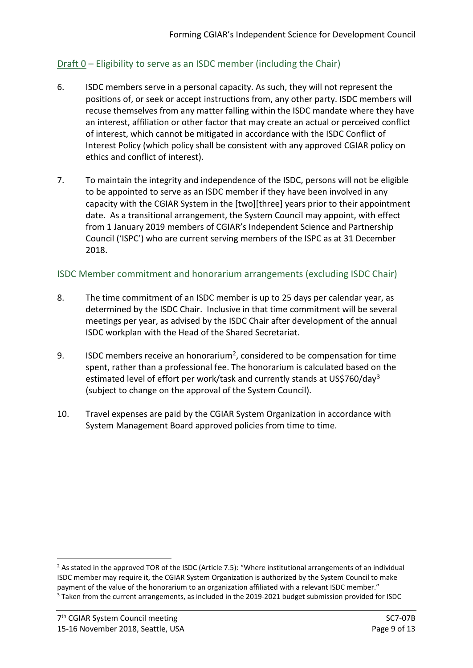## Draft  $0$  – Eligibility to serve as an ISDC member (including the Chair)

- 6. ISDC members serve in a personal capacity. As such, they will not represent the positions of, or seek or accept instructions from, any other party. ISDC members will recuse themselves from any matter falling within the ISDC mandate where they have an interest, affiliation or other factor that may create an actual or perceived conflict of interest, which cannot be mitigated in accordance with the ISDC Conflict of Interest Policy (which policy shall be consistent with any approved CGIAR policy on ethics and conflict of interest).
- 7. To maintain the integrity and independence of the ISDC, persons will not be eligible to be appointed to serve as an ISDC member if they have been involved in any capacity with the CGIAR System in the [two][three] years prior to their appointment date. As a transitional arrangement, the System Council may appoint, with effect from 1 January 2019 members of CGIAR's Independent Science and Partnership Council ('ISPC') who are current serving members of the ISPC as at 31 December 2018.

### ISDC Member commitment and honorarium arrangements (excluding ISDC Chair)

- 8. The time commitment of an ISDC member is up to 25 days per calendar year, as determined by the ISDC Chair. Inclusive in that time commitment will be several meetings per year, as advised by the ISDC Chair after development of the annual ISDC workplan with the Head of the Shared Secretariat.
- 9. ISDC members receive an honorarium<sup>2</sup>, considered to be compensation for time spent, rather than a professional fee. The honorarium is calculated based on the estimated level of effort per work/task and currently stands at US\$760/day<sup>[3](#page-8-1)</sup> (subject to change on the approval of the System Council).
- 10. Travel expenses are paid by the CGIAR System Organization in accordance with System Management Board approved policies from time to time.

-

<span id="page-8-1"></span><span id="page-8-0"></span><sup>&</sup>lt;sup>2</sup> As stated in the approved TOR of the ISDC (Article 7.5): "Where institutional arrangements of an individual ISDC member may require it, the CGIAR System Organization is authorized by the System Council to make payment of the value of the honorarium to an organization affiliated with a relevant ISDC member." <sup>3</sup> Taken from the current arrangements, as included in the 2019-2021 budget submission provided for ISDC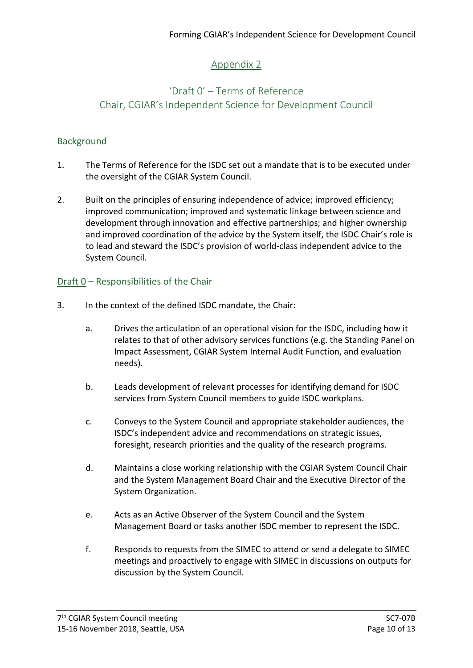# Appendix 2

# 'Draft 0' – Terms of Reference Chair, CGIAR's Independent Science for Development Council

## Background

- 1. The Terms of Reference for the ISDC set out a mandate that is to be executed under the oversight of the CGIAR System Council.
- 2. Built on the principles of ensuring independence of advice; improved efficiency; improved communication; improved and systematic linkage between science and development through innovation and effective partnerships; and higher ownership and improved coordination of the advice by the System itself, the ISDC Chair's role is to lead and steward the ISDC's provision of world-class independent advice to the System Council.

## Draft 0 – Responsibilities of the Chair

- 3. In the context of the defined ISDC mandate, the Chair:
	- a. Drives the articulation of an operational vision for the ISDC, including how it relates to that of other advisory services functions (e.g. the Standing Panel on Impact Assessment, CGIAR System Internal Audit Function, and evaluation needs).
	- b. Leads development of relevant processes for identifying demand for ISDC services from System Council members to guide ISDC workplans.
	- c. Conveys to the System Council and appropriate stakeholder audiences, the ISDC's independent advice and recommendations on strategic issues, foresight, research priorities and the quality of the research programs.
	- d. Maintains a close working relationship with the CGIAR System Council Chair and the System Management Board Chair and the Executive Director of the System Organization.
	- e. Acts as an Active Observer of the System Council and the System Management Board or tasks another ISDC member to represent the ISDC.
	- f. Responds to requests from the SIMEC to attend or send a delegate to SIMEC meetings and proactively to engage with SIMEC in discussions on outputs for discussion by the System Council.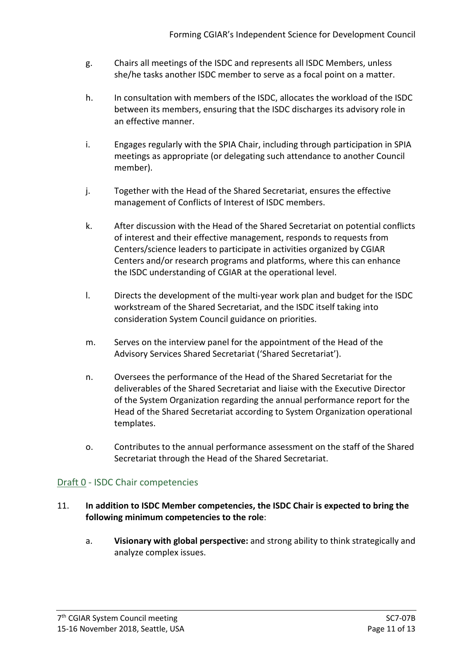- g. Chairs all meetings of the ISDC and represents all ISDC Members, unless she/he tasks another ISDC member to serve as a focal point on a matter.
- h. In consultation with members of the ISDC, allocates the workload of the ISDC between its members, ensuring that the ISDC discharges its advisory role in an effective manner.
- i. Engages regularly with the SPIA Chair, including through participation in SPIA meetings as appropriate (or delegating such attendance to another Council member).
- j. Together with the Head of the Shared Secretariat, ensures the effective management of Conflicts of Interest of ISDC members.
- k. After discussion with the Head of the Shared Secretariat on potential conflicts of interest and their effective management, responds to requests from Centers/science leaders to participate in activities organized by CGIAR Centers and/or research programs and platforms, where this can enhance the ISDC understanding of CGIAR at the operational level.
- l. Directs the development of the multi-year work plan and budget for the ISDC workstream of the Shared Secretariat, and the ISDC itself taking into consideration System Council guidance on priorities.
- m. Serves on the interview panel for the appointment of the Head of the Advisory Services Shared Secretariat ('Shared Secretariat').
- n. Oversees the performance of the Head of the Shared Secretariat for the deliverables of the Shared Secretariat and liaise with the Executive Director of the System Organization regarding the annual performance report for the Head of the Shared Secretariat according to System Organization operational templates.
- o. Contributes to the annual performance assessment on the staff of the Shared Secretariat through the Head of the Shared Secretariat.

## Draft 0 - ISDC Chair competencies

#### 11. **In addition to ISDC Member competencies, the ISDC Chair is expected to bring the following minimum competencies to the role**:

a. **Visionary with global perspective:** and strong ability to think strategically and analyze complex issues.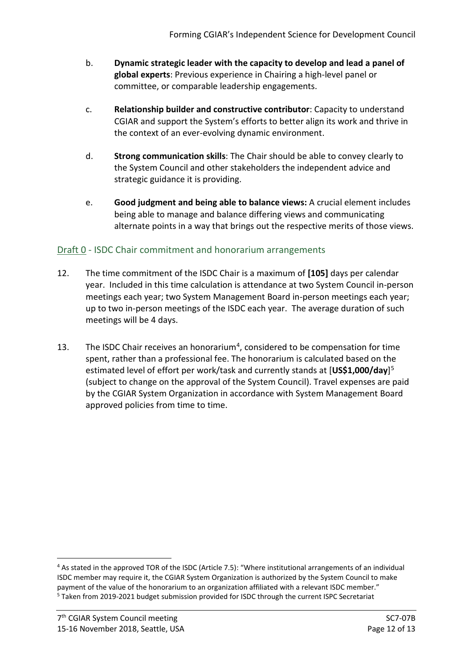- b. **Dynamic strategic leader with the capacity to develop and lead a panel of global experts**: Previous experience in Chairing a high-level panel or committee, or comparable leadership engagements.
- c. **Relationship builder and constructive contributor**: Capacity to understand CGIAR and support the System's efforts to better align its work and thrive in the context of an ever-evolving dynamic environment.
- d. **Strong communication skills**: The Chair should be able to convey clearly to the System Council and other stakeholders the independent advice and strategic guidance it is providing.
- e. **Good judgment and being able to balance views:** A crucial element includes being able to manage and balance differing views and communicating alternate points in a way that brings out the respective merits of those views.

# Draft 0 - ISDC Chair commitment and honorarium arrangements

- 12. The time commitment of the ISDC Chair is a maximum of **[105]** days per calendar year. Included in this time calculation is attendance at two System Council in-person meetings each year; two System Management Board in-person meetings each year; up to two in-person meetings of the ISDC each year. The average duration of such meetings will be 4 days.
- 13. The ISDC Chair receives an honorarium<sup>[4](#page-11-0)</sup>, considered to be compensation for time spent, rather than a professional fee. The honorarium is calculated based on the estimated level of effort per work/task and currently stands at [**US\$1,000/day**][5](#page-11-1) (subject to change on the approval of the System Council). Travel expenses are paid by the CGIAR System Organization in accordance with System Management Board approved policies from time to time.

<span id="page-11-1"></span><span id="page-11-0"></span><sup>-</sup><sup>4</sup> As stated in the approved TOR of the ISDC (Article 7.5): "Where institutional arrangements of an individual ISDC member may require it, the CGIAR System Organization is authorized by the System Council to make payment of the value of the honorarium to an organization affiliated with a relevant ISDC member." <sup>5</sup> Taken from 2019-2021 budget submission provided for ISDC through the current ISPC Secretariat